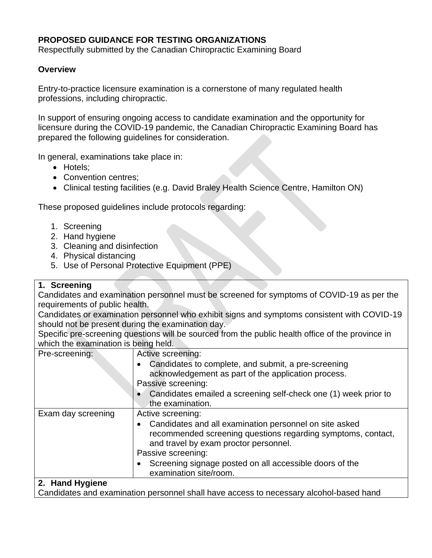## **PROPOSED GUIDANCE FOR TESTING ORGANIZATIONS**

Respectfully submitted by the Canadian Chiropractic Examining Board

## **Overview**

Entry-to-practice licensure examination is a cornerstone of many regulated health professions, including chiropractic.

In support of ensuring ongoing access to candidate examination and the opportunity for licensure during the COVID-19 pandemic, the Canadian Chiropractic Examining Board has prepared the following guidelines for consideration.

In general, examinations take place in:

- Hotels;
- Convention centres:
- Clinical testing facilities (e.g. David Braley Health Science Centre, Hamilton ON)

These proposed guidelines include protocols regarding:

- 1. Screening
- 2. Hand hygiene
- 3. Cleaning and disinfection
- 4. Physical distancing
- 5. Use of Personal Protective Equipment (PPE)

## **1. Screening**

Candidates and examination personnel must be screened for symptoms of COVID-19 as per the requirements of public health.

Candidates or examination personnel who exhibit signs and symptoms consistent with COVID-19 should not be present during the examination day.

Specific pre-screening questions will be sourced from the public health office of the province in which the examination is being held.

| Pre-screening:     | Active screening:<br>Candidates to complete, and submit, a pre-screening<br>acknowledgement as part of the application process.<br>Passive screening:                                                                                                                                           |
|--------------------|-------------------------------------------------------------------------------------------------------------------------------------------------------------------------------------------------------------------------------------------------------------------------------------------------|
|                    | Candidates emailed a screening self-check one (1) week prior to<br>the examination.                                                                                                                                                                                                             |
| Exam day screening | Active screening:<br>Candidates and all examination personnel on site asked<br>recommended screening questions regarding symptoms, contact,<br>and travel by exam proctor personnel.<br>Passive screening:<br>Screening signage posted on all accessible doors of the<br>examination site/room. |
| 2. Hand Hygiene    |                                                                                                                                                                                                                                                                                                 |

Candidates and examination personnel shall have access to necessary alcohol-based hand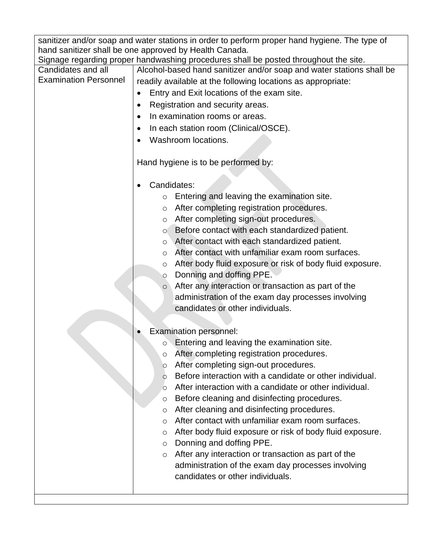| sanitizer and/or soap and water stations in order to perform proper hand hygiene. The type of<br>hand sanitizer shall be one approved by Health Canada. |                                                                                      |  |
|---------------------------------------------------------------------------------------------------------------------------------------------------------|--------------------------------------------------------------------------------------|--|
|                                                                                                                                                         | Signage regarding proper handwashing procedures shall be posted throughout the site. |  |
| Candidates and all                                                                                                                                      | Alcohol-based hand sanitizer and/or soap and water stations shall be                 |  |
| <b>Examination Personnel</b>                                                                                                                            |                                                                                      |  |
|                                                                                                                                                         | readily available at the following locations as appropriate:                         |  |
|                                                                                                                                                         | Entry and Exit locations of the exam site.<br>$\bullet$                              |  |
|                                                                                                                                                         | Registration and security areas.<br>٠                                                |  |
|                                                                                                                                                         | In examination rooms or areas.<br>$\bullet$                                          |  |
|                                                                                                                                                         | In each station room (Clinical/OSCE).<br>٠                                           |  |
|                                                                                                                                                         | Washroom locations.                                                                  |  |
|                                                                                                                                                         |                                                                                      |  |
|                                                                                                                                                         | Hand hygiene is to be performed by:                                                  |  |
|                                                                                                                                                         |                                                                                      |  |
|                                                                                                                                                         | Candidates:                                                                          |  |
|                                                                                                                                                         | Entering and leaving the examination site.<br>$\circ$                                |  |
|                                                                                                                                                         | After completing registration procedures.<br>$\circ$                                 |  |
|                                                                                                                                                         | After completing sign-out procedures.<br>O                                           |  |
|                                                                                                                                                         | Before contact with each standardized patient.<br>$\circ$                            |  |
|                                                                                                                                                         | After contact with each standardized patient.                                        |  |
|                                                                                                                                                         | $\circ$<br>After contact with unfamiliar exam room surfaces.                         |  |
|                                                                                                                                                         | $\circ$                                                                              |  |
|                                                                                                                                                         | After body fluid exposure or risk of body fluid exposure.<br>$\circ$                 |  |
|                                                                                                                                                         | Donning and doffing PPE.<br>$\circ$                                                  |  |
|                                                                                                                                                         | After any interaction or transaction as part of the<br>$\circ$                       |  |
|                                                                                                                                                         | administration of the exam day processes involving                                   |  |
|                                                                                                                                                         | candidates or other individuals.                                                     |  |
|                                                                                                                                                         |                                                                                      |  |
|                                                                                                                                                         | <b>Examination personnel:</b>                                                        |  |
|                                                                                                                                                         | Entering and leaving the examination site.<br>O                                      |  |
|                                                                                                                                                         | After completing registration procedures.<br>$\circ$                                 |  |
|                                                                                                                                                         | After completing sign-out procedures.<br>$\circ$                                     |  |
|                                                                                                                                                         | Before interaction with a candidate or other individual.<br>O                        |  |
|                                                                                                                                                         | After interaction with a candidate or other individual.<br>$\circ$                   |  |
|                                                                                                                                                         | Before cleaning and disinfecting procedures.<br>O                                    |  |
|                                                                                                                                                         | After cleaning and disinfecting procedures.<br>$\circ$                               |  |
|                                                                                                                                                         | After contact with unfamiliar exam room surfaces.<br>$\circ$                         |  |
|                                                                                                                                                         | After body fluid exposure or risk of body fluid exposure.<br>$\circ$                 |  |
|                                                                                                                                                         | Donning and doffing PPE.<br>$\circ$                                                  |  |
|                                                                                                                                                         | After any interaction or transaction as part of the<br>$\circ$                       |  |
|                                                                                                                                                         | administration of the exam day processes involving                                   |  |
|                                                                                                                                                         | candidates or other individuals.                                                     |  |
|                                                                                                                                                         |                                                                                      |  |
|                                                                                                                                                         |                                                                                      |  |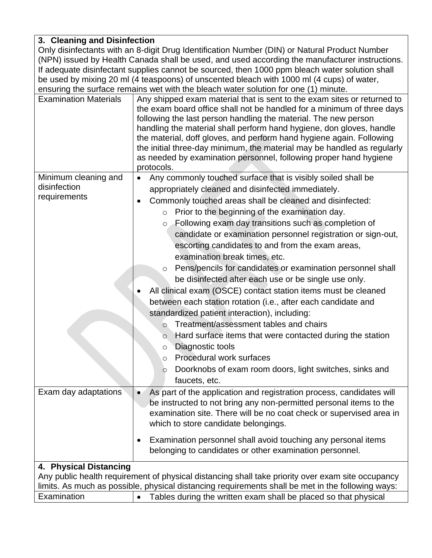## **3. Cleaning and Disinfection**

Only disinfectants with an 8-digit Drug Identification Number (DIN) or Natural Product Number (NPN) issued by Health Canada shall be used, and used according the manufacturer instructions. If adequate disinfectant supplies cannot be sourced, then 1000 ppm bleach water solution shall be used by mixing 20 ml (4 teaspoons) of unscented bleach with 1000 ml (4 cups) of water, ensuring the surface remains wet with the bleach water solution for one (1) minute.

| protocols.<br>Minimum cleaning and<br>Any commonly touched surface that is visibly soiled shall be<br>disinfection<br>appropriately cleaned and disinfected immediately.                                                                                                                                                                                                                                                                                                                                                                                                                                                                                                                                                                                                                                                                                                                                                                                                                  |  |  |
|-------------------------------------------------------------------------------------------------------------------------------------------------------------------------------------------------------------------------------------------------------------------------------------------------------------------------------------------------------------------------------------------------------------------------------------------------------------------------------------------------------------------------------------------------------------------------------------------------------------------------------------------------------------------------------------------------------------------------------------------------------------------------------------------------------------------------------------------------------------------------------------------------------------------------------------------------------------------------------------------|--|--|
| requirements<br>Commonly touched areas shall be cleaned and disinfected:<br>$\bullet$<br>Prior to the beginning of the examination day.<br>$\circ$<br>Following exam day transitions such as completion of<br>$\circ$<br>candidate or examination personnel registration or sign-out,<br>escorting candidates to and from the exam areas,<br>examination break times, etc.<br>Pens/pencils for candidates or examination personnel shall<br>$\circ$<br>be disinfected after each use or be single use only.<br>All clinical exam (OSCE) contact station items must be cleaned<br>between each station rotation (i.e., after each candidate and<br>standardized patient interaction), including:<br>Treatment/assessment tables and chairs<br>$\circ$<br>Hard surface items that were contacted during the station<br>$\circ$<br>Diagnostic tools<br>$\circ$<br>Procedural work surfaces<br>$\circ$<br>Doorknobs of exam room doors, light switches, sinks and<br>$\circ$<br>faucets, etc. |  |  |
| Exam day adaptations<br>As part of the application and registration process, candidates will<br>be instructed to not bring any non-permitted personal items to the<br>examination site. There will be no coat check or supervised area in<br>which to store candidate belongings.<br>Examination personnel shall avoid touching any personal items<br>٠<br>belonging to candidates or other examination personnel.                                                                                                                                                                                                                                                                                                                                                                                                                                                                                                                                                                        |  |  |
| 4. Physical Distancing<br>Any public health requirement of physical distancing shall take priority over exam site occupancy                                                                                                                                                                                                                                                                                                                                                                                                                                                                                                                                                                                                                                                                                                                                                                                                                                                               |  |  |
| limits. As much as possible, physical distancing requirements shall be met in the following ways:<br>Examination<br>Tables during the written exam shall be placed so that physical<br>$\bullet$                                                                                                                                                                                                                                                                                                                                                                                                                                                                                                                                                                                                                                                                                                                                                                                          |  |  |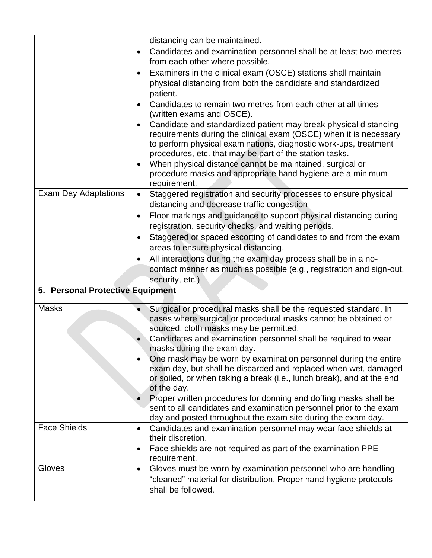|                                  | distancing can be maintained.                                                                                                       |  |  |
|----------------------------------|-------------------------------------------------------------------------------------------------------------------------------------|--|--|
|                                  | Candidates and examination personnel shall be at least two metres<br>$\bullet$                                                      |  |  |
|                                  | from each other where possible.                                                                                                     |  |  |
|                                  | Examiners in the clinical exam (OSCE) stations shall maintain<br>$\bullet$                                                          |  |  |
|                                  |                                                                                                                                     |  |  |
|                                  | physical distancing from both the candidate and standardized                                                                        |  |  |
|                                  | patient.                                                                                                                            |  |  |
|                                  | Candidates to remain two metres from each other at all times                                                                        |  |  |
|                                  | (written exams and OSCE).                                                                                                           |  |  |
|                                  | Candidate and standardized patient may break physical distancing                                                                    |  |  |
|                                  | requirements during the clinical exam (OSCE) when it is necessary                                                                   |  |  |
|                                  | to perform physical examinations, diagnostic work-ups, treatment                                                                    |  |  |
|                                  | procedures, etc. that may be part of the station tasks.                                                                             |  |  |
|                                  | When physical distance cannot be maintained, surgical or                                                                            |  |  |
|                                  | procedure masks and appropriate hand hygiene are a minimum<br>requirement.                                                          |  |  |
| Exam Day Adaptations             | Staggered registration and security processes to ensure physical<br>$\bullet$                                                       |  |  |
|                                  | distancing and decrease traffic congestion                                                                                          |  |  |
|                                  |                                                                                                                                     |  |  |
|                                  | Floor markings and guidance to support physical distancing during                                                                   |  |  |
|                                  | registration, security checks, and waiting periods.                                                                                 |  |  |
|                                  | Staggered or spaced escorting of candidates to and from the exam<br>$\bullet$                                                       |  |  |
|                                  | areas to ensure physical distancing.                                                                                                |  |  |
|                                  | All interactions during the exam day process shall be in a no-                                                                      |  |  |
|                                  | contact manner as much as possible (e.g., registration and sign-out,                                                                |  |  |
|                                  | security, etc.)                                                                                                                     |  |  |
| 5. Personal Protective Equipment |                                                                                                                                     |  |  |
| <b>Masks</b>                     | Surgical or procedural masks shall be the requested standard. In                                                                    |  |  |
|                                  | cases where surgical or procedural masks cannot be obtained or                                                                      |  |  |
|                                  | sourced, cloth masks may be permitted.                                                                                              |  |  |
|                                  | Candidates and examination personnel shall be required to wear                                                                      |  |  |
|                                  | masks during the exam day.                                                                                                          |  |  |
|                                  | One mask may be worn by examination personnel during the entire<br>$\bullet$                                                        |  |  |
|                                  | exam day, but shall be discarded and replaced when wet, damaged                                                                     |  |  |
|                                  | or soiled, or when taking a break (i.e., lunch break), and at the end                                                               |  |  |
|                                  | of the day.<br>Proper written procedures for donning and doffing masks shall be                                                     |  |  |
|                                  |                                                                                                                                     |  |  |
|                                  |                                                                                                                                     |  |  |
|                                  | sent to all candidates and examination personnel prior to the exam                                                                  |  |  |
|                                  | day and posted throughout the exam site during the exam day.                                                                        |  |  |
| <b>Face Shields</b>              | Candidates and examination personnel may wear face shields at<br>$\bullet$                                                          |  |  |
|                                  | their discretion.                                                                                                                   |  |  |
|                                  | Face shields are not required as part of the examination PPE<br>$\bullet$<br>requirement.                                           |  |  |
| Gloves                           | $\bullet$                                                                                                                           |  |  |
|                                  | Gloves must be worn by examination personnel who are handling<br>"cleaned" material for distribution. Proper hand hygiene protocols |  |  |
|                                  | shall be followed.                                                                                                                  |  |  |